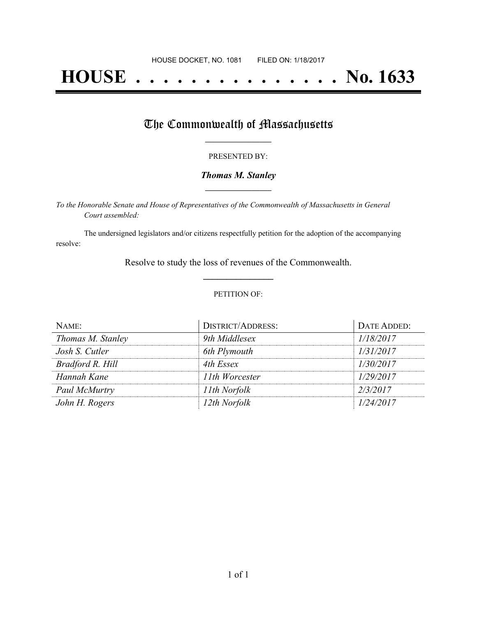# **HOUSE . . . . . . . . . . . . . . . No. 1633**

## The Commonwealth of Massachusetts

#### PRESENTED BY:

#### *Thomas M. Stanley* **\_\_\_\_\_\_\_\_\_\_\_\_\_\_\_\_\_**

*To the Honorable Senate and House of Representatives of the Commonwealth of Massachusetts in General Court assembled:*

The undersigned legislators and/or citizens respectfully petition for the adoption of the accompanying resolve:

> Resolve to study the loss of revenues of the Commonwealth. **\_\_\_\_\_\_\_\_\_\_\_\_\_\_\_**

#### PETITION OF:

| NAME:             | <b>DISTRICT/ADDRESS:</b> | DATE ADDED: |
|-------------------|--------------------------|-------------|
| Thomas M. Stanley | 9th Middlesex            | 1/18/2017   |
| Josh S. Cutler    | 6th Plymouth             | 1/31/2017   |
| Bradford R. Hill  | 4th Essex                | 1/30/2017   |
| Hannah Kane       | 11th Worcester           | 1/29/2017   |
| Paul McMurtry     | 11th Norfolk             | 2/3/2017    |
| John H. Rogers    | 12th Norfolk             | 1/24/2017   |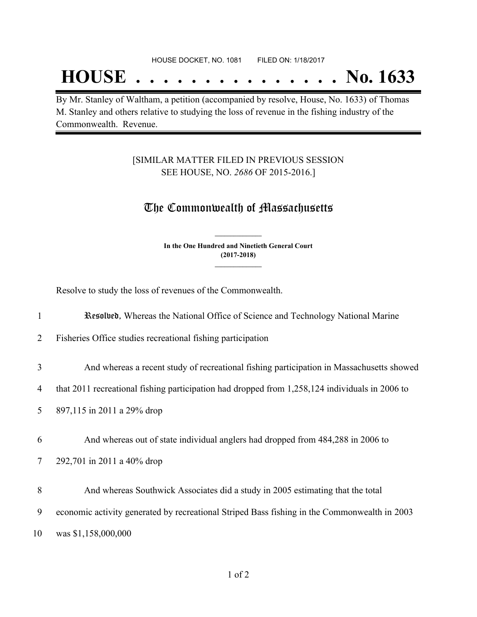## **HOUSE . . . . . . . . . . . . . . . No. 1633**

By Mr. Stanley of Waltham, a petition (accompanied by resolve, House, No. 1633) of Thomas M. Stanley and others relative to studying the loss of revenue in the fishing industry of the Commonwealth. Revenue.

### [SIMILAR MATTER FILED IN PREVIOUS SESSION SEE HOUSE, NO. *2686* OF 2015-2016.]

## The Commonwealth of Massachusetts

**In the One Hundred and Ninetieth General Court (2017-2018) \_\_\_\_\_\_\_\_\_\_\_\_\_\_\_**

**\_\_\_\_\_\_\_\_\_\_\_\_\_\_\_**

Resolve to study the loss of revenues of the Commonwealth.

| 1  | Resultural, Whereas the National Office of Science and Technology National Marine              |
|----|------------------------------------------------------------------------------------------------|
| 2  | Fisheries Office studies recreational fishing participation                                    |
| 3  | And whereas a recent study of recreational fishing participation in Massachusetts showed       |
| 4  | that 2011 recreational fishing participation had dropped from 1,258,124 individuals in 2006 to |
| 5  | 897,115 in 2011 a 29% drop                                                                     |
| 6  | And whereas out of state individual anglers had dropped from 484,288 in 2006 to                |
| 7  | 292,701 in 2011 a 40% drop                                                                     |
| 8  | And whereas Southwick Associates did a study in 2005 estimating that the total                 |
| 9  | economic activity generated by recreational Striped Bass fishing in the Commonwealth in 2003   |
| 10 | was \$1,158,000,000                                                                            |